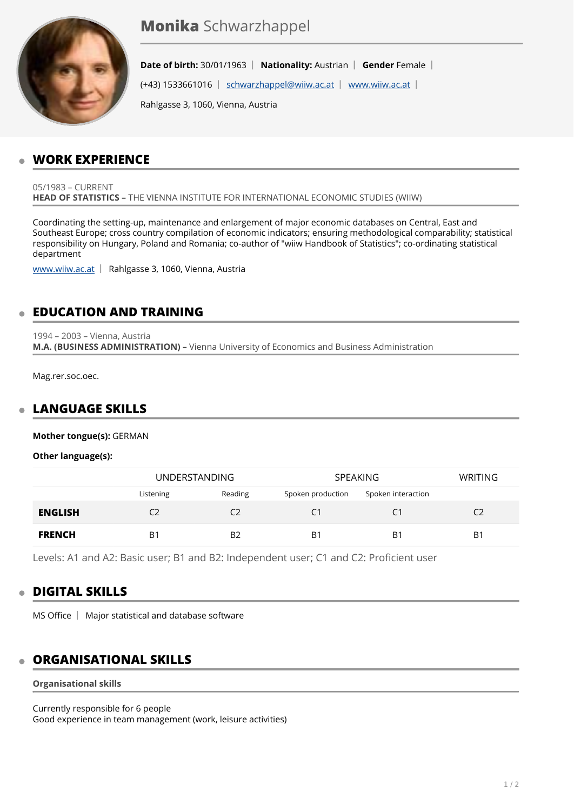

**Date of birth:** 30/01/1963 | Nationality: Austrian | Gender Female |

(+43) 1533661016 | [schwarzhappel@wiiw.ac.at](mailto:schwarzhappel@wiiw.ac.at) | [www.wiiw.ac.at](http://www.wiiw.ac.at) |

Rahlgasse 3, 1060, Vienna, Austria

## **WORK EXPERIENCE**

05/1983 – CURRENT **HEAD OF STATISTICS –** THE VIENNA INSTITUTE FOR INTERNATIONAL ECONOMIC STUDIES (WIIW)

Coordinating the setting-up, maintenance and enlargement of major economic databases on Central, East and Southeast Europe; cross country compilation of economic indicators; ensuring methodological comparability; statistical responsibility on Hungary, Poland and Romania; co-author of "wiiw Handbook of Statistics"; co-ordinating statistical department

[www.wiiw.ac.at](http://www.wiiw.ac.at) | Rahlgasse 3, 1060, Vienna, Austria

## **EDUCATION AND TRAINING**

1994 – 2003 – Vienna, Austria **M.A. (BUSINESS ADMINISTRATION) –** Vienna University of Economics and Business Administration

Mag.rer.soc.oec.

#### **LANGUAGE SKILLS**   $\overline{a}$

**Mother tongue(s):** GERMAN

**Other language(s):**

|                | <b>UNDERSTANDING</b> |                | <b>SPEAKING</b>   |                    | <b>WRITING</b> |
|----------------|----------------------|----------------|-------------------|--------------------|----------------|
|                | Listening            | Reading        | Spoken production | Spoken interaction |                |
| <b>ENGLISH</b> | C <sub>2</sub>       | C2             | C <sub>1</sub>    | C1                 | C2             |
| <b>FRENCH</b>  | B <sub>1</sub>       | B <sub>2</sub> | B <sub>1</sub>    | B <sub>1</sub>     | B <sub>1</sub> |

Levels: A1 and A2: Basic user; B1 and B2: Independent user; C1 and C2: Proficient user

#### **DIGITAL SKILLS**

 $MS$  Office  $\parallel$  Major statistical and database software

#### **ORGANISATIONAL SKILLS**

#### **Organisational skills**

Currently responsible for 6 people Good experience in team management (work, leisure activities)